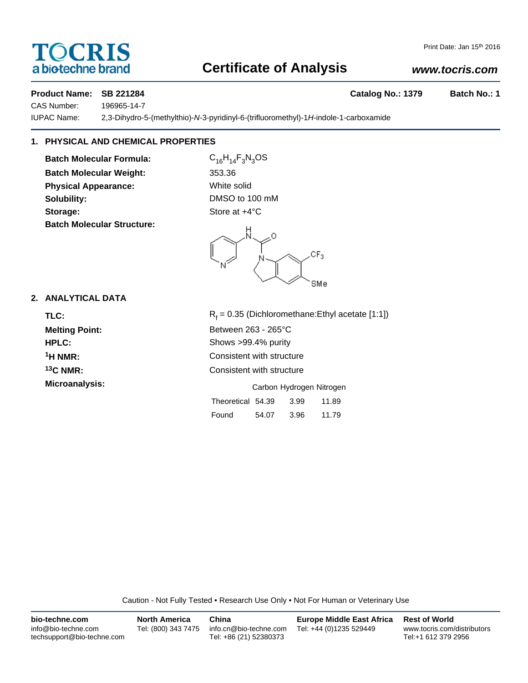# **TOCRIS** a biotechne brand

# **Certificate of Analysis**

# *www.tocris.com*

**Product Name: SB 221284 Catalog No.: 1379 Batch No.: 1** 

CAS Number: 196965-14-7

IUPAC Name: 2,3-Dihydro-5-(methylthio)-*N*-3-pyridinyl-6-(trifluoromethyl)-1*H*-indole-1-carboxamide

# **1. PHYSICAL AND CHEMICAL PROPERTIES**

**Batch Molecular Formula:** C<sub>16</sub>H<sub>14</sub>F<sub>3</sub>N<sub>3</sub>OS **Batch Molecular Weight:** 353.36 **Physical Appearance:** White solid **Solubility:** DMSO to 100 mM **Storage:** Store at  $+4^{\circ}$ C **Batch Molecular Structure:**

Ω  $CF<sub>3</sub>$ SMe

Found 54.07 3.96 11.79

## **2. ANALYTICAL DATA**

| TLC:                  | $R_f$ = 0.35 (Dichloromethane: Ethyl acetate [1:1]) |  |  |  |
|-----------------------|-----------------------------------------------------|--|--|--|
| <b>Melting Point:</b> | Between 263 - 265°C                                 |  |  |  |
| <b>HPLC:</b>          | Shows >99.4% purity                                 |  |  |  |
| $1H NMR$ :            | Consistent with structure                           |  |  |  |
| $13C$ NMR:            | Consistent with structure                           |  |  |  |
| Microanalysis:        | Carbon Hydrogen Nitrogen                            |  |  |  |
|                       | 3.99<br>Theoretical 54.39<br>11.89                  |  |  |  |

Caution - Not Fully Tested • Research Use Only • Not For Human or Veterinary Use

| bio-techne.com                                    | <b>North America</b> | China                                            | <b>Europe Middle East Africa</b> | <b>Rest of World</b>                               |
|---------------------------------------------------|----------------------|--------------------------------------------------|----------------------------------|----------------------------------------------------|
| info@bio-techne.com<br>techsupport@bio-techne.com | Tel: (800) 343 7475  | info.cn@bio-techne.com<br>Tel: +86 (21) 52380373 | Tel: +44 (0)1235 529449          | www.tocris.com/distributors<br>Tel:+1 612 379 2956 |